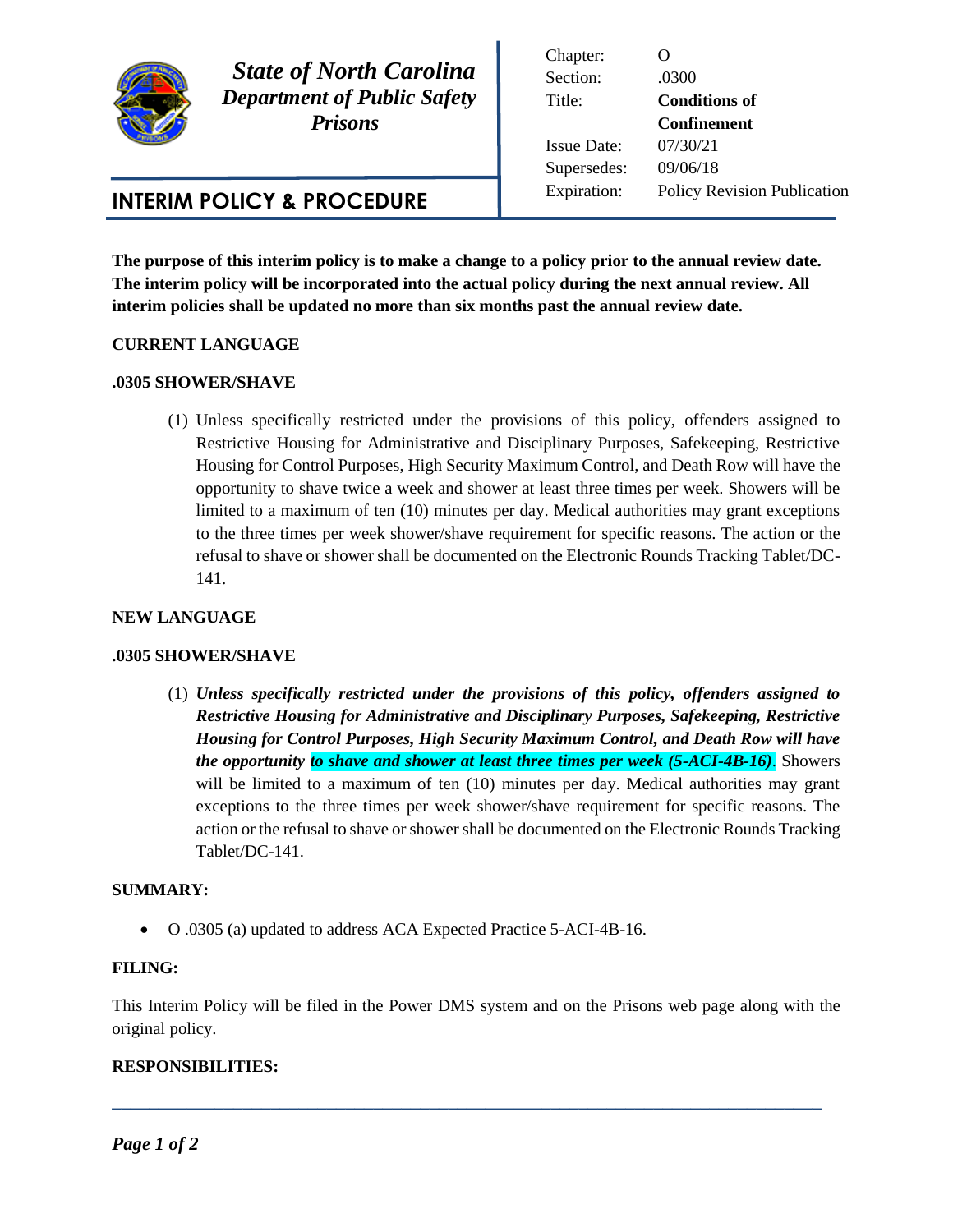

 *State of North Carolina Department of Public Safety Prisons* 

# **INTERIM POLICY & PROCEDURE**

Chapter: O Section: .0300 Title: **Conditions of Confinement** Issue Date: 07/30/21 Supersedes: 09/06/18 Expiration: Policy Revision Publication

**The purpose of this interim policy is to make a change to a policy prior to the annual review date. The interim policy will be incorporated into the actual policy during the next annual review. All interim policies shall be updated no more than six months past the annual review date.** 

## **CURRENT LANGUAGE**

## **.0305 SHOWER/SHAVE**

(1) Unless specifically restricted under the provisions of this policy, offenders assigned to Restrictive Housing for Administrative and Disciplinary Purposes, Safekeeping, Restrictive Housing for Control Purposes, High Security Maximum Control, and Death Row will have the opportunity to shave twice a week and shower at least three times per week. Showers will be limited to a maximum of ten (10) minutes per day. Medical authorities may grant exceptions to the three times per week shower/shave requirement for specific reasons. The action or the refusal to shave or shower shall be documented on the Electronic Rounds Tracking Tablet/DC-141.

### **NEW LANGUAGE**

#### **.0305 SHOWER/SHAVE**

(1) *Unless specifically restricted under the provisions of this policy, offenders assigned to Restrictive Housing for Administrative and Disciplinary Purposes, Safekeeping, Restrictive Housing for Control Purposes, High Security Maximum Control, and Death Row will have the opportunity to shave and shower at least three times per week (5-ACI-4B-16)*. Showers will be limited to a maximum of ten (10) minutes per day. Medical authorities may grant exceptions to the three times per week shower/shave requirement for specific reasons. The action or the refusal to shave or shower shall be documented on the Electronic Rounds Tracking Tablet/DC-141.

## **SUMMARY:**

O .0305 (a) updated to address ACA Expected Practice 5-ACI-4B-16.

#### **FILING:**

This Interim Policy will be filed in the Power DMS system and on the Prisons web page along with the original policy.

**\_\_\_\_\_\_\_\_\_\_\_\_\_\_\_\_\_\_\_\_\_\_\_\_\_\_\_\_\_\_\_\_\_\_\_\_\_\_\_\_\_\_\_\_\_\_\_\_\_\_\_\_\_\_\_\_\_\_\_\_\_\_\_\_\_\_\_\_\_\_\_\_\_\_\_\_**

## **RESPONSIBILITIES:**